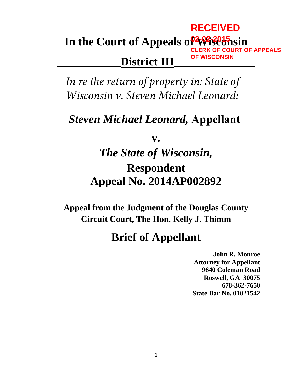# **In the Court of Appeals of Wisconsin RECEIVED OF COURT OF APPEALS OF WISCONSIN**

# **\_\_\_\_\_\_\_\_\_\_\_District III\_\_\_\_\_\_\_\_\_\_\_\_\_\_**

*In re the return of property in: State of Wisconsin v. Steven Michael Leonard:*

*Steven Michael Leonard,* **Appellant**

**v.** 

# *The State of Wisconsin,* **Respondent Appeal No. 2014AP002892 \_\_\_\_\_\_\_\_\_\_\_\_\_\_\_\_\_\_\_\_\_\_\_\_\_\_\_\_\_\_\_\_\_\_\_\_\_\_\_**

**Appeal from the Judgment of the Douglas County Circuit Court, The Hon. Kelly J. Thimm** 

# **Brief of Appellant**

**John R. Monroe Attorney for Appellant 9640 Coleman Road Roswell, GA 30075 678-362-7650 State Bar No. 01021542**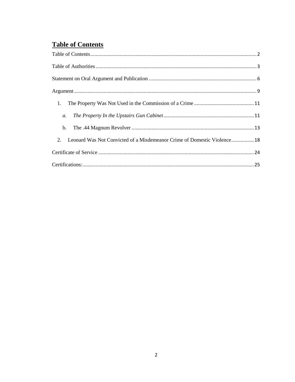# <span id="page-1-0"></span>**Table of Contents**

| 1.                                                                             |  |  |
|--------------------------------------------------------------------------------|--|--|
| $a_{\cdot}$                                                                    |  |  |
| b.                                                                             |  |  |
| Leonard Was Not Convicted of a Misdemeanor Crime of Domestic Violence 18<br>2. |  |  |
|                                                                                |  |  |
|                                                                                |  |  |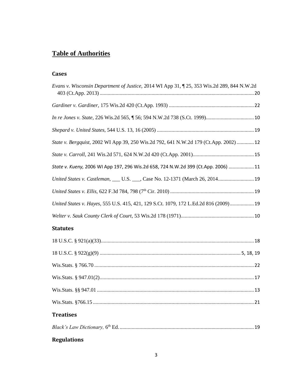# <span id="page-2-0"></span>**Table of Authorities**

### **Cases**

| Evans v. Wisconsin Department of Justice, 2014 WI App 31, 1 25, 353 Wis.2d 289, 844 N.W.2d |  |
|--------------------------------------------------------------------------------------------|--|
|                                                                                            |  |
|                                                                                            |  |
|                                                                                            |  |
| State v. Bergquist, 2002 WI App 39, 250 Wis.2d 792, 641 N.W.2d 179 (Ct.App. 2002)  12      |  |
|                                                                                            |  |
| State v. Kueny, 2006 WI App 197, 296 Wis.2d 658, 724 N.W.2d 399 (Ct.App. 2006) 11          |  |
| United States v. Castleman, ___ U.S. ___, Case No. 12-1371 (March 26, 2014 19              |  |
|                                                                                            |  |
| United States v. Hayes, 555 U.S. 415, 421, 129 S.Ct. 1079, 172 L.Ed.2d 816 (2009)  19      |  |
|                                                                                            |  |
|                                                                                            |  |

### **Statutes**

| <b>Trooticos</b> |  |
|------------------|--|
|                  |  |
|                  |  |
|                  |  |
|                  |  |
|                  |  |
|                  |  |
|                  |  |
|                  |  |

#### **Treatises**

| <b>Black's Law Dictionary,</b> |
|--------------------------------|
|--------------------------------|

## **Regulations**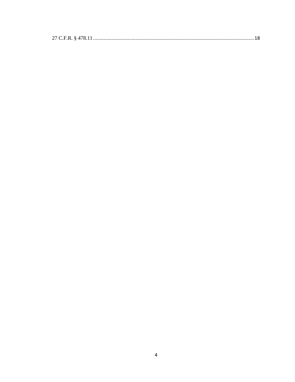|--|--|--|--|--|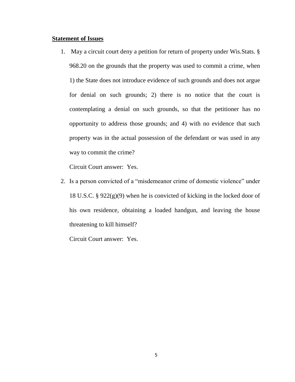#### **Statement of Issues**

1. May a circuit court deny a petition for return of property under Wis.Stats. § 968.20 on the grounds that the property was used to commit a crime, when 1) the State does not introduce evidence of such grounds and does not argue for denial on such grounds; 2) there is no notice that the court is contemplating a denial on such grounds, so that the petitioner has no opportunity to address those grounds; and 4) with no evidence that such property was in the actual possession of the defendant or was used in any way to commit the crime?

Circuit Court answer: Yes.

2. Is a person convicted of a "misdemeanor crime of domestic violence" under 18 U.S.C. § 922(g)(9) when he is convicted of kicking in the locked door of his own residence, obtaining a loaded handgun, and leaving the house threatening to kill himself?

Circuit Court answer: Yes.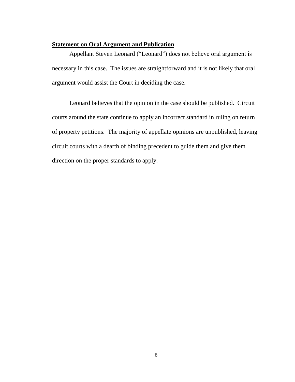## <span id="page-5-0"></span>**Statement on Oral Argument and Publication**

Appellant Steven Leonard ("Leonard") does not believe oral argument is necessary in this case. The issues are straightforward and it is not likely that oral argument would assist the Court in deciding the case.

Leonard believes that the opinion in the case should be published. Circuit courts around the state continue to apply an incorrect standard in ruling on return of property petitions. The majority of appellate opinions are unpublished, leaving circuit courts with a dearth of binding precedent to guide them and give them direction on the proper standards to apply.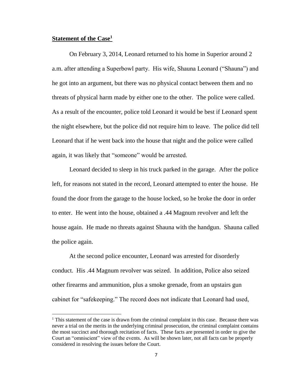#### **Statement of the Case<sup>1</sup>**

 $\overline{\phantom{a}}$ 

On February 3, 2014, Leonard returned to his home in Superior around 2 a.m. after attending a Superbowl party. His wife, Shauna Leonard ("Shauna") and he got into an argument, but there was no physical contact between them and no threats of physical harm made by either one to the other. The police were called. As a result of the encounter, police told Leonard it would be best if Leonard spent the night elsewhere, but the police did not require him to leave. The police did tell Leonard that if he went back into the house that night and the police were called again, it was likely that "someone" would be arrested.

Leonard decided to sleep in his truck parked in the garage. After the police left, for reasons not stated in the record, Leonard attempted to enter the house. He found the door from the garage to the house locked, so he broke the door in order to enter. He went into the house, obtained a .44 Magnum revolver and left the house again. He made no threats against Shauna with the handgun. Shauna called the police again.

At the second police encounter, Leonard was arrested for disorderly conduct. His .44 Magnum revolver was seized. In addition, Police also seized other firearms and ammunition, plus a smoke grenade, from an upstairs gun cabinet for "safekeeping." The record does not indicate that Leonard had used,

<sup>&</sup>lt;sup>1</sup> This statement of the case is drawn from the criminal complaint in this case. Because there was never a trial on the merits in the underlying criminal prosecution, the criminal complaint contains the most succinct and thorough recitation of facts. These facts are presented in order to give the Court an "omniscient" view of the events. As will be shown later, not all facts can be properly considered in resolving the issues before the Court.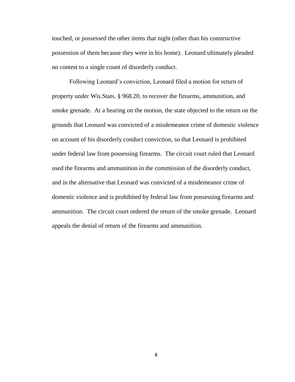touched, or possessed the other items that night (other than his constructive possession of them because they were in his home). Leonard ultimately pleaded no contest to a single count of disorderly conduct.

Following Leonard's conviction, Leonard filed a motion for return of property under Wis.Stats. § 968.20, to recover the firearms, ammunition, and smoke grenade. At a hearing on the motion, the state objected to the return on the grounds that Leonard was convicted of a misdemeanor crime of domestic violence on account of his disorderly conduct conviction, so that Leonard is prohibited under federal law from possessing firearms. The circuit court ruled that Leonard used the firearms and ammunition in the commission of the disorderly conduct, and in the alternative that Leonard was convicted of a misdemeanor crime of domestic violence and is prohibited by federal law from possessing firearms and ammunition. The circuit court ordered the return of the smoke grenade. Leonard appeals the denial of return of the firearms and ammunition.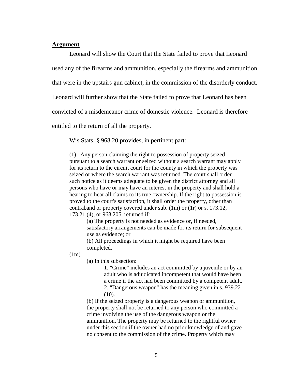#### <span id="page-8-0"></span>**Argument**

Leonard will show the Court that the State failed to prove that Leonard used any of the firearms and ammunition, especially the firearms and ammunition that were in the upstairs gun cabinet, in the commission of the disorderly conduct. Leonard will further show that the State failed to prove that Leonard has been convicted of a misdemeanor crime of domestic violence. Leonard is therefore entitled to the return of all the property.

Wis.Stats. § 968.20 provides, in pertinent part:

(1) Any person claiming the right to possession of property seized pursuant to a search warrant or seized without a search warrant may apply for its return to the circuit court for the county in which the property was seized or where the search warrant was returned. The court shall order such notice as it deems adequate to be given the district attorney and all persons who have or may have an interest in the property and shall hold a hearing to hear all claims to its true ownership. If the right to possession is proved to the court's satisfaction, it shall order the property, other than contraband or property covered under sub. (1m) or [\(1r\)](http://docs.legis.wi.gov/document/statutes/968.20%281r%29) or s. [173.12,](http://docs.legis.wi.gov/document/statutes/173.12) [173.21 \(4\),](http://docs.legis.wi.gov/document/statutes/173.21%284%29) or [968.205,](http://docs.legis.wi.gov/document/statutes/968.205) returned if:

(a) The property is not needed as evidence or, if needed, satisfactory arrangements can be made for its return for subsequent use as evidence; or

(b) All proceedings in which it might be required have been completed.

(1m)

(a) In this subsection:

1. "Crime" includes an act committed by a juvenile or by an adult who is adjudicated incompetent that would have been a crime if the act had been committed by a competent adult. 2. "Dangerous weapon" has the meaning given in s. [939.22](http://docs.legis.wi.gov/document/statutes/939.22%2810%29)  [\(10\).](http://docs.legis.wi.gov/document/statutes/939.22%2810%29)

(b) If the seized property is a dangerous weapon or ammunition, the property shall not be returned to any person who committed a crime involving the use of the dangerous weapon or the ammunition. The property may be returned to the rightful owner under this section if the owner had no prior knowledge of and gave no consent to the commission of the crime. Property which may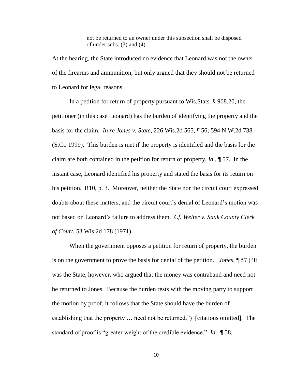not be returned to an owner under this subsection shall be disposed of under subs. [\(3\)](http://docs.legis.wi.gov/document/statutes/968.20%283%29) and [\(4\).](http://docs.legis.wi.gov/document/statutes/968.20%284%29)

At the hearing, the State introduced no evidence that Leonard was not the owner of the firearms and ammunition, but only argued that they should not be returned to Leonard for legal reasons.

In a petition for return of property pursuant to Wis.Stats. § 968.20, the petitioner (in this case Leonard) has the burden of identifying the property and the basis for the claim. *In re Jones v. State,* 226 Wis.2d 565, ¶ 56; 594 N.W.2d 738 (S.Ct. 1999). This burden is met if the property is identified and the basis for the claim are both contained in the petition for return of property, *Id.,* ¶ 57. In the instant case, Leonard identified his property and stated the basis for its return on his petition. R10, p. 3. Moreover, neither the State nor the circuit court expressed doubts about these matters, and the circuit court's denial of Leonard's motion was not based on Leonard's failure to address them. *Cf. Welter v. Sauk County Clerk of Court,* 53 Wis.2d 178 (1971).

When the government opposes a petition for return of property, the burden is on the government to prove the basis for denial of the petition. *Jones,* ¶ 57 ("It was the State, however, who argued that the money was contraband and need not be returned to Jones. Because the burden rests with the moving party to support the motion by proof, it follows that the State should have the burden of establishing that the property … need not be returned.") [citations omitted]. The standard of proof is "greater weight of the credible evidence." *Id.,* ¶ 58.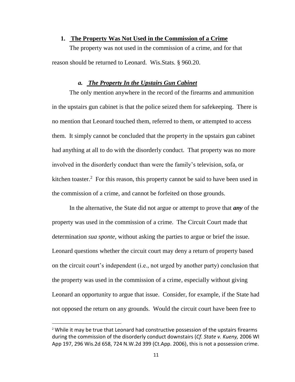<span id="page-10-0"></span>**1. The Property Was Not Used in the Commission of a Crime** The property was not used in the commission of a crime, and for that reason should be returned to Leonard. Wis.Stats. § 960.20.

#### <span id="page-10-1"></span>*a. The Property In the Upstairs Gun Cabinet*

The only mention anywhere in the record of the firearms and ammunition in the upstairs gun cabinet is that the police seized them for safekeeping. There is no mention that Leonard touched them, referred to them, or attempted to access them. It simply cannot be concluded that the property in the upstairs gun cabinet had anything at all to do with the disorderly conduct. That property was no more involved in the disorderly conduct than were the family's television, sofa, or kitchen toaster.<sup>2</sup> For this reason, this property cannot be said to have been used in the commission of a crime, and cannot be forfeited on those grounds.

In the alternative, the State did not argue or attempt to prove that *any* of the property was used in the commission of a crime. The Circuit Court made that determination *sua sponte,* without asking the parties to argue or brief the issue. Leonard questions whether the circuit court may deny a return of property based on the circuit court's independent (i.e., not urged by another party) conclusion that the property was used in the commission of a crime, especially without giving Leonard an opportunity to argue that issue. Consider, for example, if the State had not opposed the return on any grounds. Would the circuit court have been free to

 $\overline{a}$ 

<sup>&</sup>lt;sup>2</sup> While it may be true that Leonard had constructive possession of the upstairs firearms during the commission of the disorderly conduct downstairs (*Cf. State v. Kueny,* 2006 WI App 197, 296 Wis.2d 658, 724 N.W.2d 399 (Ct.App. 2006), this is not a possession crime.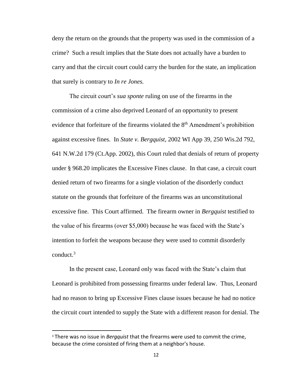deny the return on the grounds that the property was used in the commission of a crime? Such a result implies that the State does not actually have a burden to carry and that the circuit court could carry the burden for the state, an implication that surely is contrary to *In re Jones.* 

The circuit court's *sua sponte* ruling on use of the firearms in the commission of a crime also deprived Leonard of an opportunity to present evidence that forfeiture of the firearms violated the  $8<sup>th</sup>$  Amendment's prohibition against excessive fines. In *State v. Bergquist,* 2002 WI App 39, 250 Wis.2d 792, 641 N.W.2d 179 (Ct.App. 2002), this Court ruled that denials of return of property under § 968.20 implicates the Excessive Fines clause. In that case, a circuit court denied return of two firearms for a single violation of the disorderly conduct statute on the grounds that forfeiture of the firearms was an unconstitutional excessive fine. This Court affirmed. The firearm owner in *Bergquist* testified to the value of his firearms (over \$5,000) because he was faced with the State's intention to forfeit the weapons because they were used to commit disorderly conduct. $3$ 

In the present case, Leonard only was faced with the State's claim that Leonard is prohibited from possessing firearms under federal law. Thus, Leonard had no reason to bring up Excessive Fines clause issues because he had no notice the circuit court intended to supply the State with a different reason for denial. The

 $\overline{a}$ 

<sup>&</sup>lt;sup>3</sup> There was no issue in *Bergquist* that the firearms were used to commit the crime, because the crime consisted of firing them at a neighbor's house.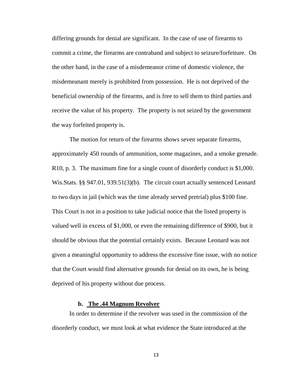differing grounds for denial are significant. In the case of use of firearms to commit a crime, the firearms are contraband and subject to seizure/forfeiture. On the other hand, in the case of a misdemeanor crime of domestic violence, the misdemeanant merely is prohibited from possession. He is not deprived of the beneficial ownership of the firearms, and is free to sell them to third parties and receive the value of his property. The property is not seized by the government the way forfeited property is.

The motion for return of the firearms shows seven separate firearms, approximately 450 rounds of ammunition, some magazines, and a smoke grenade. R10, p. 3. The maximum fine for a single count of disorderly conduct is \$1,000. Wis.Stats. §§ 947.01, 939.51(3)(b). The circuit court actually sentenced Leonard to two days in jail (which was the time already served pretrial) plus \$100 fine. This Court is not in a position to take judicial notice that the listed property is valued well in excess of \$1,000, or even the remaining difference of \$900, but it should be obvious that the potential certainly exists. Because Leonard was not given a meaningful opportunity to address the excessive fine issue, with no notice that the Court would find alternative grounds for denial on its own, he is being deprived of his property without due process.

#### <span id="page-12-0"></span>**b. The .44 Magnum Revolver**

In order to determine if the revolver was used in the commission of the disorderly conduct, we must look at what evidence the State introduced at the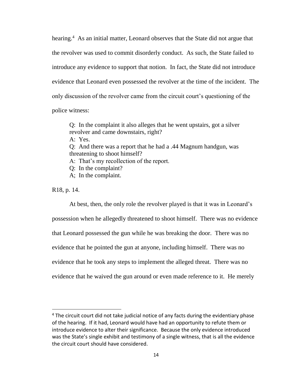hearing.<sup>4</sup> As an initial matter, Leonard observes that the State did not argue that the revolver was used to commit disorderly conduct. As such, the State failed to introduce any evidence to support that notion. In fact, the State did not introduce evidence that Leonard even possessed the revolver at the time of the incident. The only discussion of the revolver came from the circuit court's questioning of the

police witness:

Q: In the complaint it also alleges that he went upstairs, got a silver revolver and came downstairs, right?

A: Yes.

Q: And there was a report that he had a .44 Magnum handgun, was threatening to shoot himself?

A: That's my recollection of the report.

Q: In the complaint?

A; In the complaint.

R18, p. 14.

 $\overline{a}$ 

At best, then, the only role the revolver played is that it was in Leonard's possession when he allegedly threatened to shoot himself. There was no evidence that Leonard possessed the gun while he was breaking the door. There was no evidence that he pointed the gun at anyone, including himself. There was no evidence that he took any steps to implement the alleged threat. There was no evidence that he waived the gun around or even made reference to it. He merely

<sup>&</sup>lt;sup>4</sup> The circuit court did not take judicial notice of any facts during the evidentiary phase of the hearing. If it had, Leonard would have had an opportunity to refute them or introduce evidence to alter their significance. Because the only evidence introduced was the State's single exhibit and testimony of a single witness, that is all the evidence the circuit court should have considered.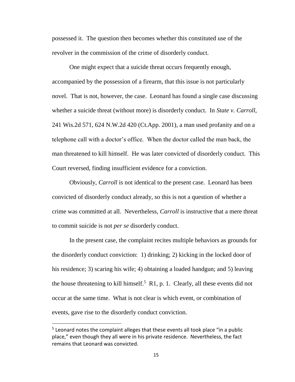possessed it. The question then becomes whether this constituted use of the revolver in the commission of the crime of disorderly conduct.

One might expect that a suicide threat occurs frequently enough, accompanied by the possession of a firearm, that this issue is not particularly novel. That is not, however, the case. Leonard has found a single case discussing whether a suicide threat (without more) is disorderly conduct. In *State v. Carroll,*  241 Wis.2d 571, 624 N.W.2d 420 (Ct.App. 2001), a man used profanity and on a telephone call with a doctor's office. When the doctor called the man back, the man threatened to kill himself. He was later convicted of disorderly conduct. This Court reversed, finding insufficient evidence for a conviction.

Obviously, *Carroll* is not identical to the present case. Leonard has been convicted of disorderly conduct already, so this is not a question of whether a crime was committed at all. Nevertheless, *Carroll* is instructive that a mere threat to commit suicide is not *per se* disorderly conduct.

In the present case, the complaint recites multiple behaviors as grounds for the disorderly conduct conviction: 1) drinking; 2) kicking in the locked door of his residence; 3) scaring his wife; 4) obtaining a loaded handgun; and 5) leaving the house threatening to kill himself.<sup>5</sup> R1, p. 1. Clearly, all these events did not occur at the same time. What is not clear is which event, or combination of events, gave rise to the disorderly conduct conviction.

 $\overline{a}$ 

<sup>&</sup>lt;sup>5</sup> Leonard notes the complaint alleges that these events all took place "in a public place," even though they all were in his private residence. Nevertheless, the fact remains that Leonard was convicted.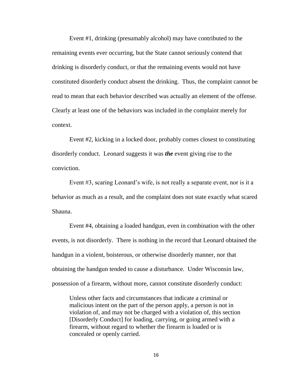Event #1, drinking (presumably alcohol) may have contributed to the remaining events ever occurring, but the State cannot seriously contend that drinking is disorderly conduct, or that the remaining events would not have constituted disorderly conduct absent the drinking. Thus, the complaint cannot be read to mean that each behavior described was actually an element of the offense. Clearly at least one of the behaviors was included in the complaint merely for context.

Event #2, kicking in a locked door, probably comes closest to constituting disorderly conduct. Leonard suggests it was *the* event giving rise to the conviction.

Event #3, scaring Leonard's wife, is not really a separate event, nor is it a behavior as much as a result, and the complaint does not state exactly what scared Shauna.

Event #4, obtaining a loaded handgun, even in combination with the other events, is not disorderly. There is nothing in the record that Leonard obtained the handgun in a violent, boisterous, or otherwise disorderly manner, nor that obtaining the handgun tended to cause a disturbance. Under Wisconsin law, possession of a firearm, without more, cannot constitute disorderly conduct:

Unless other facts and circumstances that indicate a criminal or malicious intent on the part of the person apply, a person is not in violation of, and may not be charged with a violation of, this section [Disorderly Conduct] for loading, carrying, or going armed with a firearm, without regard to whether the firearm is loaded or is concealed or openly carried.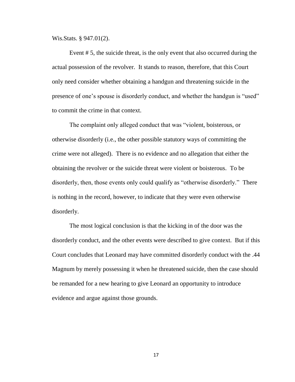Wis.Stats. § 947.01(2).

Event # 5, the suicide threat, is the only event that also occurred during the actual possession of the revolver. It stands to reason, therefore, that this Court only need consider whether obtaining a handgun and threatening suicide in the presence of one's spouse is disorderly conduct, and whether the handgun is "used" to commit the crime in that context.

The complaint only alleged conduct that was "violent, boisterous, or otherwise disorderly (i.e., the other possible statutory ways of committing the crime were not alleged). There is no evidence and no allegation that either the obtaining the revolver or the suicide threat were violent or boisterous. To be disorderly, then, those events only could qualify as "otherwise disorderly." There is nothing in the record, however, to indicate that they were even otherwise disorderly.

The most logical conclusion is that the kicking in of the door was the disorderly conduct, and the other events were described to give context. But if this Court concludes that Leonard may have committed disorderly conduct with the .44 Magnum by merely possessing it when he threatened suicide, then the case should be remanded for a new hearing to give Leonard an opportunity to introduce evidence and argue against those grounds.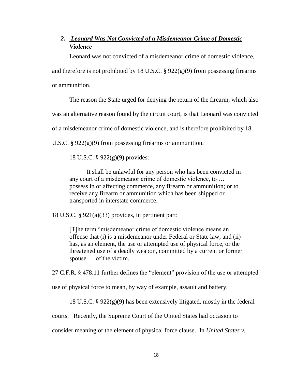## <span id="page-17-0"></span>*2. Leonard Was Not Convicted of a Misdemeanor Crime of Domestic Violence*

Leonard was not convicted of a misdemeanor crime of domestic violence, and therefore is not prohibited by 18 U.S.C.  $\S$  922(g)(9) from possessing firearms or ammunition.

The reason the State urged for denying the return of the firearm, which also

was an alternative reason found by the circuit court, is that Leonard was convicted

of a misdemeanor crime of domestic violence, and is therefore prohibited by 18

U.S.C. § 922(g)(9) from possessing firearms or ammunition.

18 U.S.C. § 922(g)(9) provides:

It shall be unlawful for any person who has been convicted in any court of a misdemeanor crime of domestic violence, to … possess in or affecting commerce, any firearm or ammunition; or to receive any firearm or ammunition which has been shipped or transported in interstate commerce.

18 U.S.C. § 921(a)(33) provides, in pertinent part:

[T]he term "misdemeanor crime of domestic violence means an offense that (i) is a misdemeanor under Federal or State law; and (ii) has, as an element, the use or attempted use of physical force, or the threatened use of a deadly weapon, committed by a current or former spouse … of the victim.

27 C.F.R. § 478.11 further defines the "element" provision of the use or attempted

use of physical force to mean, by way of example, assault and battery.

18 U.S.C. § 922(g)(9) has been extensively litigated, mostly in the federal

courts. Recently, the Supreme Court of the United States had occasion to

consider meaning of the element of physical force clause. In *United States v.*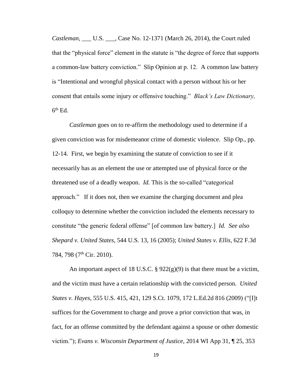*Castleman,* \_\_\_ U.S. \_\_\_, Case No. 12-1371 (March 26, 2014), the Court ruled that the "physical force" element in the statute is "the degree of force that supports a common-law battery conviction." Slip Opinion at p. 12. A common law battery is "Intentional and wrongful physical contact with a person without his or her consent that entails some injury or offensive touching." *Black's Law Dictionary,*   $6<sup>th</sup>$  Ed.

*Castleman* goes on to re-affirm the methodology used to determine if a given conviction was for misdemeanor crime of domestic violence. Slip Op., pp. 12-14. First, we begin by examining the statute of conviction to see if it necessarily has as an element the use or attempted use of physical force or the threatened use of a deadly weapon. *Id.* This is the so-called "categorical approach." If it does not, then we examine the charging document and plea colloquy to determine whether the conviction included the elements necessary to constitute "the generic federal offense" [of common law battery.] *Id. See also Shepard v. United States,* 544 U.S. 13, 16 (2005); *United States v. Ellis,* 622 F.3d 784, 798 (7<sup>th</sup> Cir. 2010).

An important aspect of 18 U.S.C.  $\S 922(g)(9)$  is that there must be a victim, and the victim must have a certain relationship with the convicted person. *United States v. Hayes,* 555 U.S. 415, 421, 129 S.Ct. 1079, 172 L.Ed.2d 816 (2009) ("[I]t suffices for the Government to charge and prove a prior conviction that was, in fact, for an offense committed by the defendant against a spouse or other domestic victim."); *Evans v. Wisconsin Department of Justice,* 2014 WI App 31, ¶ 25, 353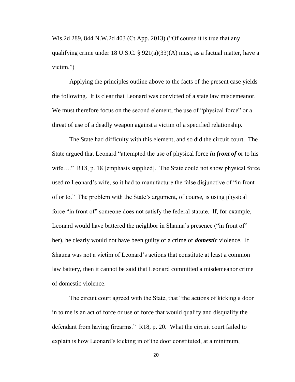Wis.2d 289, 844 N.W.2d 403 (Ct.App. 2013) ("Of course it is true that any qualifying crime under 18 U.S.C. § 921(a)(33)(A) must, as a factual matter, have a victim.")

Applying the principles outline above to the facts of the present case yields the following. It is clear that Leonard was convicted of a state law misdemeanor. We must therefore focus on the second element, the use of "physical force" or a threat of use of a deadly weapon against a victim of a specified relationship.

The State had difficulty with this element, and so did the circuit court. The State argued that Leonard "attempted the use of physical force *in front of* or to his wife...." R18, p. 18 [emphasis supplied]. The State could not show physical force used *to* Leonard's wife, so it had to manufacture the false disjunctive of "in front of or to." The problem with the State's argument, of course, is using physical force "in front of" someone does not satisfy the federal statute. If, for example, Leonard would have battered the neighbor in Shauna's presence ("in front of" her), he clearly would not have been guilty of a crime of *domestic* violence. If Shauna was not a victim of Leonard's actions that constitute at least a common law battery, then it cannot be said that Leonard committed a misdemeanor crime of domestic violence.

The circuit court agreed with the State, that "the actions of kicking a door in to me is an act of force or use of force that would qualify and disqualify the defendant from having firearms." R18, p. 20. What the circuit court failed to explain is how Leonard's kicking in of the door constituted, at a minimum,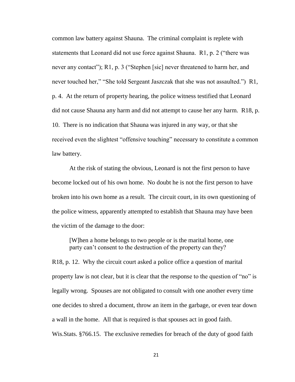common law battery against Shauna. The criminal complaint is replete with statements that Leonard did not use force against Shauna. R1, p. 2 ("there was never any contact"); R1, p. 3 ("Stephen [sic] never threatened to harm her, and never touched her," "She told Sergeant Jaszczak that she was not assaulted.") R1, p. 4. At the return of property hearing, the police witness testified that Leonard did not cause Shauna any harm and did not attempt to cause her any harm. R18, p. 10. There is no indication that Shauna was injured in any way, or that she received even the slightest "offensive touching" necessary to constitute a common law battery.

At the risk of stating the obvious, Leonard is not the first person to have become locked out of his own home. No doubt he is not the first person to have broken into his own home as a result. The circuit court, in its own questioning of the police witness, apparently attempted to establish that Shauna may have been the victim of the damage to the door:

[W]hen a home belongs to two people or is the marital home, one party can't consent to the destruction of the property can they?

R18, p. 12. Why the circuit court asked a police office a question of marital property law is not clear, but it is clear that the response to the question of "no" is legally wrong. Spouses are not obligated to consult with one another every time one decides to shred a document, throw an item in the garbage, or even tear down a wall in the home. All that is required is that spouses act in good faith. Wis.Stats. §766.15. The exclusive remedies for breach of the duty of good faith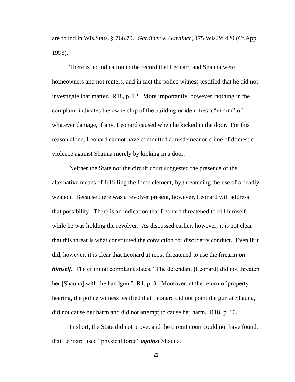are found in Wis.Stats. § 766.70. *Gardiner v. Gardiner,* 175 Wis.2d 420 (Ct.App. 1993).

There is no indication in the record that Leonard and Shauna were homeowners and not renters, and in fact the police witness testified that he did not investigate that matter. R18, p. 12. More importantly, however, nothing in the complaint indicates the ownership of the building or identifies a "victim" of whatever damage, if any, Leonard caused when he kicked in the door. For this reason alone, Leonard cannot have committed a misdemeanor crime of domestic violence against Shauna merely by kicking in a door.

Neither the State nor the circuit court suggested the presence of the alternative means of fulfilling the force element, by threatening the use of a deadly weapon. Because there was a revolver present, however, Leonard will address that possibility. There is an indication that Leonard threatened to kill himself while he was holding the revolver. As discussed earlier, however, it is not clear that this threat is what constituted the conviction for disorderly conduct. Even if it did, however, it is clear that Leonard at most threatened to use the firearm *on himself.* The criminal complaint states, "The defendant [Leonard] did not threaten her [Shauna] with the handgun." R1, p. 3. Moreover, at the return of property hearing, the police witness testified that Leonard did not point the gun at Shauna, did not cause her harm and did not attempt to cause her harm. R18, p. 10.

In short, the State did not prove, and the circuit court could not have found, that Leonard used "physical force" *against* Shauna.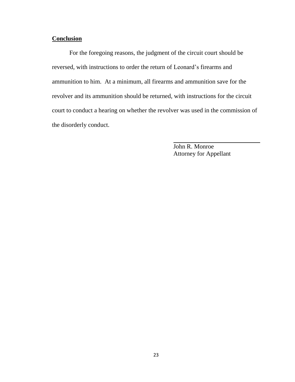## **Conclusion**

For the foregoing reasons, the judgment of the circuit court should be reversed, with instructions to order the return of Leonard's firearms and ammunition to him. At a minimum, all firearms and ammunition save for the revolver and its ammunition should be returned, with instructions for the circuit court to conduct a hearing on whether the revolver was used in the commission of the disorderly conduct.

> John R. Monroe Attorney for Appellant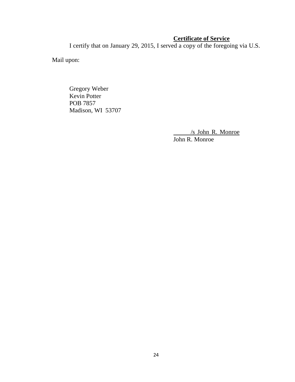## **Certificate of Service**

<span id="page-23-0"></span>I certify that on January 29, 2015, I served a copy of the foregoing via U.S.

Mail upon:

Gregory Weber Kevin Potter POB 7857 Madison, WI 53707

> /s John R. Monroe John R. Monroe